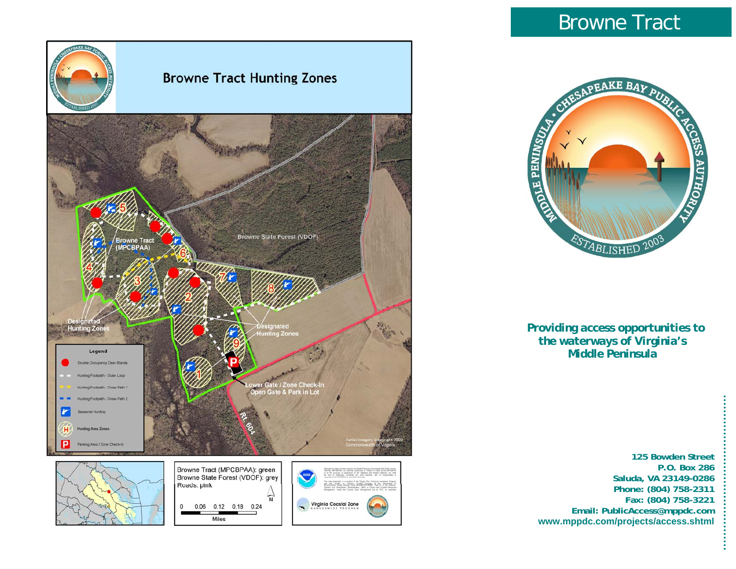

# Browne Tract



 *Providing access opportunities to the waterways of Virginia's Middle Peninsula* 

**125 Bowden Street P.O. Box 286 Saluda, VA 23149-0286 Phone: (804) 758-2311 Fax: (804) 758-3221 Email: PublicAccess@mppdc.com www.mppdc.com/projects/access.shtml**